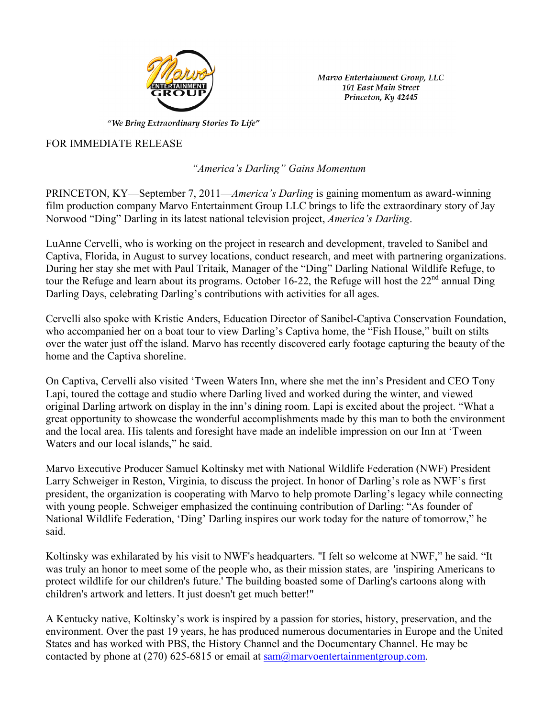

Marvo Entertainment Group, LLC 101 East Main Street Princeton, Ky 42445

"We Bring Extraordinary Stories To Life"

## FOR IMMEDIATE RELEASE

 *"America's Darling" Gains Momentum*

PRINCETON, KY—September 7, 2011—*America's Darling* is gaining momentum as award-winning film production company Marvo Entertainment Group LLC brings to life the extraordinary story of Jay Norwood "Ding" Darling in its latest national television project, *America's Darling*.

LuAnne Cervelli, who is working on the project in research and development, traveled to Sanibel and Captiva, Florida, in August to survey locations, conduct research, and meet with partnering organizations. During her stay she met with Paul Tritaik, Manager of the "Ding" Darling National Wildlife Refuge, to tour the Refuge and learn about its programs. October 16-22, the Refuge will host the 22<sup>nd</sup> annual Ding Darling Days, celebrating Darling's contributions with activities for all ages.

Cervelli also spoke with Kristie Anders, Education Director of Sanibel-Captiva Conservation Foundation, who accompanied her on a boat tour to view Darling's Captiva home, the "Fish House," built on stilts over the water just off the island. Marvo has recently discovered early footage capturing the beauty of the home and the Captiva shoreline.

On Captiva, Cervelli also visited 'Tween Waters Inn, where she met the inn's President and CEO Tony Lapi, toured the cottage and studio where Darling lived and worked during the winter, and viewed original Darling artwork on display in the inn's dining room. Lapi is excited about the project. "What a great opportunity to showcase the wonderful accomplishments made by this man to both the environment and the local area. His talents and foresight have made an indelible impression on our Inn at 'Tween Waters and our local islands," he said.

Marvo Executive Producer Samuel Koltinsky met with National Wildlife Federation (NWF) President Larry Schweiger in Reston, Virginia, to discuss the project. In honor of Darling's role as NWF's first president, the organization is cooperating with Marvo to help promote Darling's legacy while connecting with young people. Schweiger emphasized the continuing contribution of Darling: "As founder of National Wildlife Federation, 'Ding' Darling inspires our work today for the nature of tomorrow," he said.

Koltinsky was exhilarated by his visit to NWF's headquarters. "I felt so welcome at NWF," he said. "It was truly an honor to meet some of the people who, as their mission states, are 'inspiring Americans to protect wildlife for our children's future.' The building boasted some of Darling's cartoons along with children's artwork and letters. It just doesn't get much better!"

A Kentucky native, Koltinsky's work is inspired by a passion for stories, history, preservation, and the environment. Over the past 19 years, he has produced numerous documentaries in Europe and the United States and has worked with PBS, the History Channel and the Documentary Channel. He may be contacted by phone at  $(270)$  625-6815 or email at sam $@$ marvoentertainmentgroup.com.